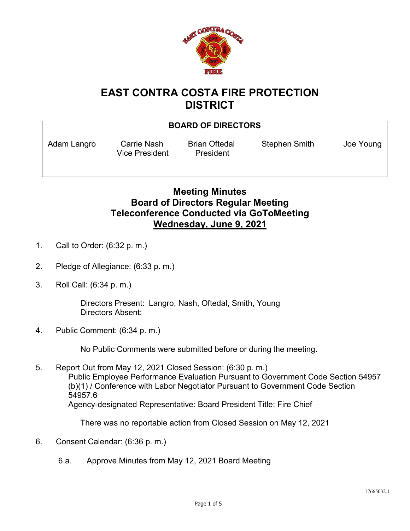

## **EAST CONTRA COSTA FIRE PROTECTION DISTRICT**

## **BOARD OF DIRECTORS**

Vice President President

Carrie Nash Brian Oftedal Stephen Smith Joe Young

## **Meeting Minutes Board of Directors Regular Meeting Teleconference Conducted via GoToMeeting Wednesday, June 9, 2021**

- 1. Call to Order: (6:32 p. m.)
- 2. Pledge of Allegiance: (6:33 p. m.)
- 3. Roll Call: (6:34 p. m.)

Directors Present: Langro, Nash, Oftedal, Smith, Young Directors Absent:

4. Public Comment: (6:34 p. m.)

No Public Comments were submitted before or during the meeting.

5. Report Out from May 12, 2021 Closed Session: (6:30 p. m.) Public Employee Performance Evaluation Pursuant to Government Code Section 54957 (b)(1) / Conference with Labor Negotiator Pursuant to Government Code Section 54957.6 Agency-designated Representative: Board President Title: Fire Chief

There was no reportable action from Closed Session on May 12, 2021

- 6. Consent Calendar: (6:36 p. m.)
	- 6.a. Approve Minutes from May 12, 2021 Board Meeting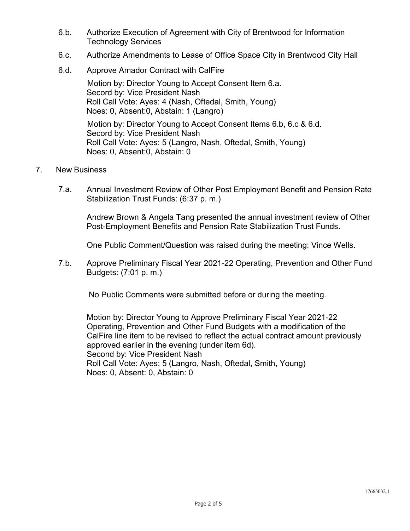- 6.b. Authorize Execution of Agreement with City of Brentwood for Information Technology Services
- 6.c. Authorize Amendments to Lease of Office Space City in Brentwood City Hall
- 6.d. Approve Amador Contract with CalFire

Motion by: Director Young to Accept Consent Item 6.a. Secord by: Vice President Nash Roll Call Vote: Ayes: 4 (Nash, Oftedal, Smith, Young) Noes: 0, Absent:0, Abstain: 1 (Langro) Motion by: Director Young to Accept Consent Items 6.b, 6.c & 6.d. Secord by: Vice President Nash Roll Call Vote: Ayes: 5 (Langro, Nash, Oftedal, Smith, Young) Noes: 0, Absent:0, Abstain: 0

## 7. New Business

7.a. Annual Investment Review of Other Post Employment Benefit and Pension Rate Stabilization Trust Funds: (6:37 p. m.)

Andrew Brown & Angela Tang presented the annual investment review of Other Post-Employment Benefits and Pension Rate Stabilization Trust Funds.

One Public Comment/Question was raised during the meeting: Vince Wells.

7.b. Approve Preliminary Fiscal Year 2021-22 Operating, Prevention and Other Fund Budgets: (7:01 p. m.)

No Public Comments were submitted before or during the meeting.

Motion by: Director Young to Approve Preliminary Fiscal Year 2021-22 Operating, Prevention and Other Fund Budgets with a modification of the CalFire line item to be revised to reflect the actual contract amount previously approved earlier in the evening (under item 6d). Second by: Vice President Nash Roll Call Vote: Ayes: 5 (Langro, Nash, Oftedal, Smith, Young) Noes: 0, Absent: 0, Abstain: 0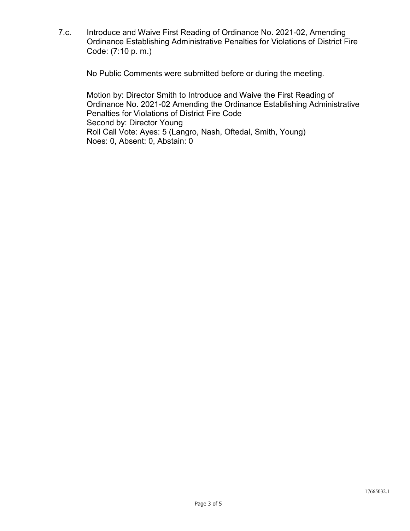7.c. Introduce and Waive First Reading of Ordinance No. 2021-02, Amending Ordinance Establishing Administrative Penalties for Violations of District Fire Code: (7:10 p. m.)

No Public Comments were submitted before or during the meeting.

Motion by: Director Smith to Introduce and Waive the First Reading of Ordinance No. 2021-02 Amending the Ordinance Establishing Administrative Penalties for Violations of District Fire Code Second by: Director Young Roll Call Vote: Ayes: 5 (Langro, Nash, Oftedal, Smith, Young) Noes: 0, Absent: 0, Abstain: 0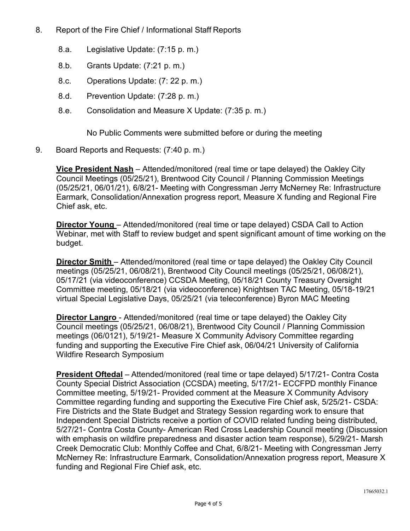- 8. Report of the Fire Chief / Informational Staff Reports
	- 8.a. Legislative Update: (7:15 p. m.)
	- 8.b. Grants Update: (7:21 p. m.)
	- 8.c. Operations Update: (7: 22 p. m.)
	- 8.d. Prevention Update: (7:28 p. m.)
	- 8.e. Consolidation and Measure X Update: (7:35 p. m.)

No Public Comments were submitted before or during the meeting

9. Board Reports and Requests: (7:40 p. m.)

**Vice President Nash** – Attended/monitored (real time or tape delayed) the Oakley City Council Meetings (05/25/21), Brentwood City Council / Planning Commission Meetings (05/25/21, 06/01/21), 6/8/21- Meeting with Congressman Jerry McNerney Re: Infrastructure Earmark, Consolidation/Annexation progress report, Measure X funding and Regional Fire Chief ask, etc.

**Director Young** – Attended/monitored (real time or tape delayed) CSDA Call to Action Webinar, met with Staff to review budget and spent significant amount of time working on the budget.

**Director Smith** – Attended/monitored (real time or tape delayed) the Oakley City Council meetings (05/25/21, 06/08/21), Brentwood City Council meetings (05/25/21, 06/08/21), 05/17/21 (via videoconference) CCSDA Meeting, 05/18/21 County Treasury Oversight Committee meeting, 05/18/21 (via videoconference) Knightsen TAC Meeting, 05/18-19/21 virtual Special Legislative Days, 05/25/21 (via teleconference) Byron MAC Meeting

**Director Langro** - Attended/monitored (real time or tape delayed) the Oakley City Council meetings (05/25/21, 06/08/21), Brentwood City Council / Planning Commission meetings (06/0121), 5/19/21- Measure X Community Advisory Committee regarding funding and supporting the Executive Fire Chief ask, 06/04/21 University of California Wildfire Research Symposium

**President Oftedal** – Attended/monitored (real time or tape delayed) 5/17/21- Contra Costa County Special District Association (CCSDA) meeting, 5/17/21- ECCFPD monthly Finance Committee meeting, 5/19/21- Provided comment at the Measure X Community Advisory Committee regarding funding and supporting the Executive Fire Chief ask, 5/25/21- CSDA: Fire Districts and the State Budget and Strategy Session regarding work to ensure that Independent Special Districts receive a portion of COVID related funding being distributed, 5/27/21- Contra Costa County- American Red Cross Leadership Council meeting (Discussion with emphasis on wildfire preparedness and disaster action team response), 5/29/21- Marsh Creek Democratic Club: Monthly Coffee and Chat, 6/8/21- Meeting with Congressman Jerry McNerney Re: Infrastructure Earmark, Consolidation/Annexation progress report, Measure X funding and Regional Fire Chief ask, etc.